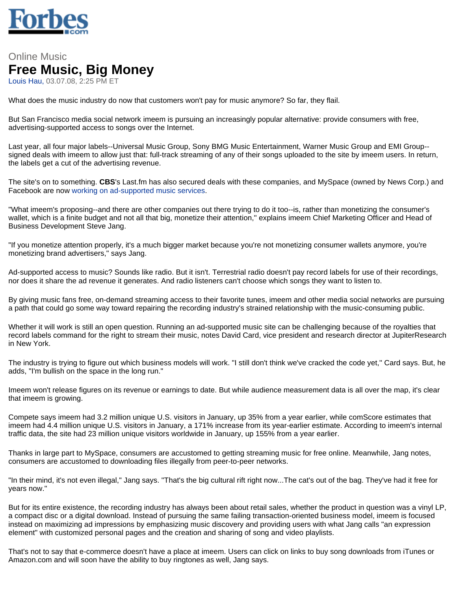

## Online Music **Free Music, Big Money** Louis Hau, 03.07.08, 2:25 PM ET

What does the music industry do now that customers won't pay for music anymore? So far, they flail.

But San Francisco media social network imeem is pursuing an increasingly popular alternative: provide consumers with free, advertising-supported access to songs over the Internet.

Last year, all four major labels--Universal Music Group, Sony BMG Music Entertainment, Warner Music Group and EMI Group- signed deals with imeem to allow just that: full-track streaming of any of their songs uploaded to the site by imeem users. In return, the labels get a cut of the advertising revenue.

The site's on to something. **CBS**'s Last.fm has also secured deals with these companies, and MySpace (owned by News Corp.) and Facebook are now working on ad-supported music services.

"What imeem's proposing--and there are other companies out there trying to do it too--is, rather than monetizing the consumer's wallet, which is a finite budget and not all that big, monetize their attention,'' explains imeem Chief Marketing Officer and Head of Business Development Steve Jang.

"If you monetize attention properly, it's a much bigger market because you're not monetizing consumer wallets anymore, you're monetizing brand advertisers," says Jang.

Ad-supported access to music? Sounds like radio. But it isn't. Terrestrial radio doesn't pay record labels for use of their recordings, nor does it share the ad revenue it generates. And radio listeners can't choose which songs they want to listen to.

By giving music fans free, on-demand streaming access to their favorite tunes, imeem and other media social networks are pursuing a path that could go some way toward repairing the recording industry's strained relationship with the music-consuming public.

Whether it will work is still an open question. Running an ad-supported music site can be challenging because of the royalties that record labels command for the right to stream their music, notes David Card, vice president and research director at JupiterResearch in New York.

The industry is trying to figure out which business models will work. "I still don't think we've cracked the code yet,'' Card says. But, he adds, "I'm bullish on the space in the long run."

Imeem won't release figures on its revenue or earnings to date. But while audience measurement data is all over the map, it's clear that imeem is growing.

Compete says imeem had 3.2 million unique U.S. visitors in January, up 35% from a year earlier, while comScore estimates that imeem had 4.4 million unique U.S. visitors in January, a 171% increase from its year-earlier estimate. According to imeem's internal traffic data, the site had 23 million unique visitors worldwide in January, up 155% from a year earlier.

Thanks in large part to MySpace, consumers are accustomed to getting streaming music for free online. Meanwhile, Jang notes, consumers are accustomed to downloading files illegally from peer-to-peer networks.

"In their mind, it's not even illegal," Jang says. "That's the big cultural rift right now...The cat's out of the bag. They've had it free for years now."

But for its entire existence, the recording industry has always been about retail sales, whether the product in question was a vinyl LP, a compact disc or a digital download. Instead of pursuing the same failing transaction-oriented business model, imeem is focused instead on maximizing ad impressions by emphasizing music discovery and providing users with what Jang calls "an expression element" with customized personal pages and the creation and sharing of song and video playlists.

That's not to say that e-commerce doesn't have a place at imeem. Users can click on links to buy song downloads from iTunes or Amazon.com and will soon have the ability to buy ringtones as well, Jang says.